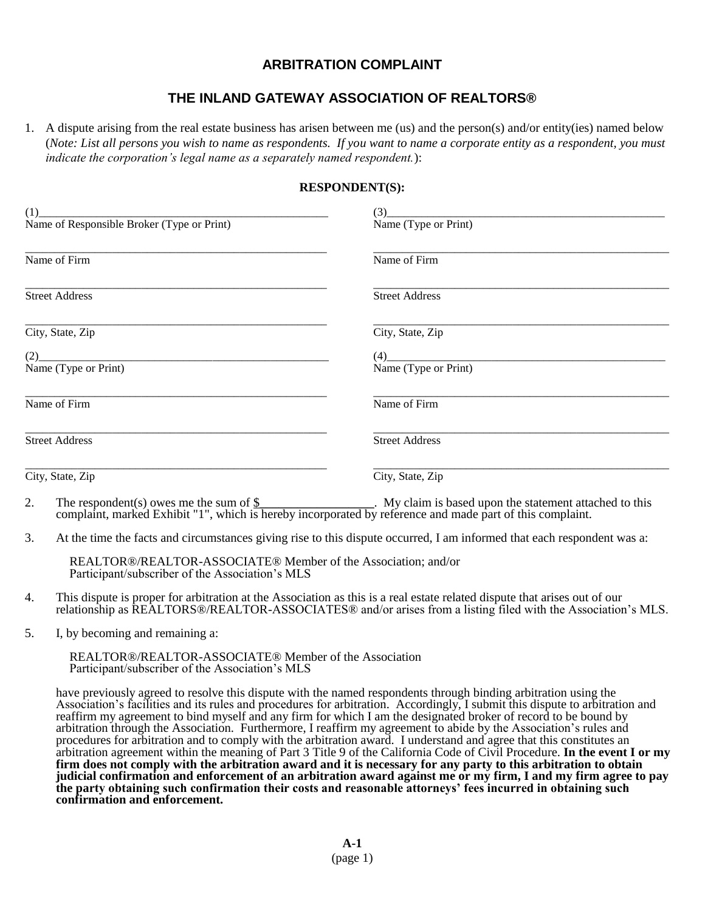## **ARBITRATION COMPLAINT**

## **THE INLAND GATEWAY ASSOCIATION OF REALTORS®**

1. A dispute arising from the real estate business has arisen between me (us) and the person(s) and/or entity(ies) named below (*Note: List all persons you wish to name as respondents. If you want to name a corporate entity as a respondent, you must indicate the corporation's legal name as a separately named respondent.*):

## **RESPONDENT(S):**

| (1)                                        | (3)                   |
|--------------------------------------------|-----------------------|
| Name of Responsible Broker (Type or Print) | Name (Type or Print)  |
| Name of Firm                               | Name of Firm          |
| <b>Street Address</b>                      | <b>Street Address</b> |
| City, State, Zip                           | City, State, Zip      |
| (2)<br>Name (Type or Print)                | Name (Type or Print)  |
| Name of Firm                               | Name of Firm          |
| <b>Street Address</b>                      | <b>Street Address</b> |
| City, State, Zip                           | City, State, Zip      |

- 2. The respondent(s) owes me the sum of  $\frac{1}{2}$  My claim is based upon the statement attached to this complaint, marked Exhibit "1", which is hereby incorporated by reference and made part of this complaint.
- 3. At the time the facts and circumstances giving rise to this dispute occurred, I am informed that each respondent was a:

REALTOR®/REALTOR-ASSOCIATE® Member of the Association; and/or Participant/subscriber of the Association's MLS

- 4. This dispute is proper for arbitration at the Association as this is a real estate related dispute that arises out of our relationship as REALTORS®/REALTOR-ASSOCIATES® and/or arises from a listing filed with the Association's MLS.
- 5. I, by becoming and remaining a:

REALTOR®/REALTOR-ASSOCIATE® Member of the Association Participant/subscriber of the Association's MLS

have previously agreed to resolve this dispute with the named respondents through binding arbitration using the Association's facilities and its rules and procedures for arbitration. Accordingly, I submit this dispute to arbitration and reaffirm my agreement to bind myself and any firm for which I am the designated broker of record to be bound by arbitration through the Association. Furthermore, I reaffirm my agreement to abide by the Association's rules and procedures for arbitration and to comply with the arbitration award. I understand and agree that this constitutes an arbitration agreement within the meaning of Part 3 Title 9 of the California Code of Civil Procedure. **In the event I or my firm does not comply with the arbitration award and it is necessary for any party to this arbitration to obtain judicial confirmation and enforcement of an arbitration award against me or my firm, I and my firm agree to pay the party obtaining such confirmation their costs and reasonable attorneys' fees incurred in obtaining such confirmation and enforcement.**